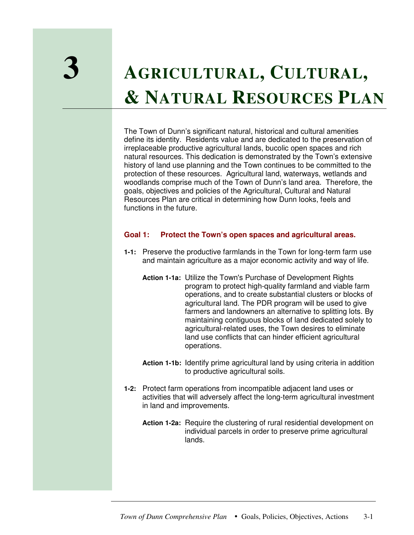# **3 <sup>A</sup>GRICULTURAL, <sup>C</sup>ULTURAL, & NATURAL RESOURCES PLAN**

The Town of Dunn's significant natural, historical and cultural amenities define its identity. Residents value and are dedicated to the preservation of irreplaceable productive agricultural lands, bucolic open spaces and rich natural resources. This dedication is demonstrated by the Town's extensive history of land use planning and the Town continues to be committed to the protection of these resources. Agricultural land, waterways, wetlands and woodlands comprise much of the Town of Dunn's land area. Therefore, the goals, objectives and policies of the Agricultural, Cultural and Natural Resources Plan are critical in determining how Dunn looks, feels and functions in the future.

## **Goal 1: Protect the Town's open spaces and agricultural areas.**

- **1-1:** Preserve the productive farmlands in the Town for long-term farm use and maintain agriculture as a major economic activity and way of life.
	- **Action 1-1a:** Utilize the Town's Purchase of Development Rights program to protect high-quality farmland and viable farm operations, and to create substantial clusters or blocks of agricultural land. The PDR program will be used to give farmers and landowners an alternative to splitting lots. By maintaining contiguous blocks of land dedicated solely to agricultural-related uses, the Town desires to eliminate land use conflicts that can hinder efficient agricultural operations.
	- **Action 1-1b:** Identify prime agricultural land by using criteria in addition to productive agricultural soils.
- **1-2:** Protect farm operations from incompatible adjacent land uses or activities that will adversely affect the long-term agricultural investment in land and improvements.
	- **Action 1-2a:** Require the clustering of rural residential development on individual parcels in order to preserve prime agricultural lands.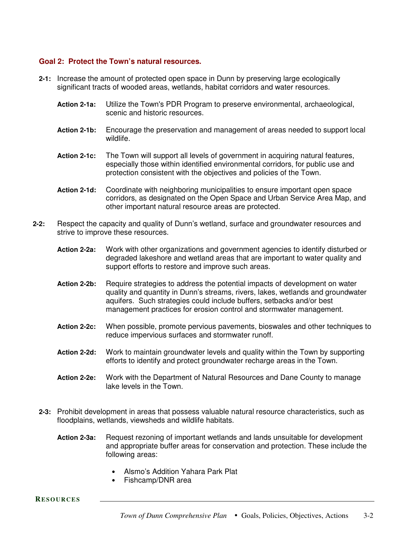## **Goal 2: Protect the Town's natural resources.**

- **2-1:** Increase the amount of protected open space in Dunn by preserving large ecologically significant tracts of wooded areas, wetlands, habitat corridors and water resources.
	- **Action 2-1a:** Utilize the Town's PDR Program to preserve environmental, archaeological, scenic and historic resources.
	- **Action 2-1b:** Encourage the preservation and management of areas needed to support local wildlife.
	- **Action 2-1c:** The Town will support all levels of government in acquiring natural features, especially those within identified environmental corridors, for public use and protection consistent with the objectives and policies of the Town.
	- **Action 2-1d:** Coordinate with neighboring municipalities to ensure important open space corridors, as designated on the Open Space and Urban Service Area Map, and other important natural resource areas are protected.
- **2-2:** Respect the capacity and quality of Dunn's wetland, surface and groundwater resources and strive to improve these resources.
	- **Action 2-2a:** Work with other organizations and government agencies to identify disturbed or degraded lakeshore and wetland areas that are important to water quality and support efforts to restore and improve such areas.
	- **Action 2-2b:** Require strategies to address the potential impacts of development on water quality and quantity in Dunn's streams, rivers, lakes, wetlands and groundwater aquifers. Such strategies could include buffers, setbacks and/or best management practices for erosion control and stormwater management.
	- **Action 2-2c:** When possible, promote pervious pavements, bioswales and other techniques to reduce impervious surfaces and stormwater runoff.
	- **Action 2-2d:** Work to maintain groundwater levels and quality within the Town by supporting efforts to identify and protect groundwater recharge areas in the Town.
	- **Action 2-2e:** Work with the Department of Natural Resources and Dane County to manage lake levels in the Town.
	- **2-3:** Prohibit development in areas that possess valuable natural resource characteristics, such as floodplains, wetlands, viewsheds and wildlife habitats.
		- **Action 2-3a:** Request rezoning of important wetlands and lands unsuitable for development and appropriate buffer areas for conservation and protection. These include the following areas:
			- Alsmo's Addition Yahara Park Plat
			- Fishcamp/DNR area

**RESOURCES**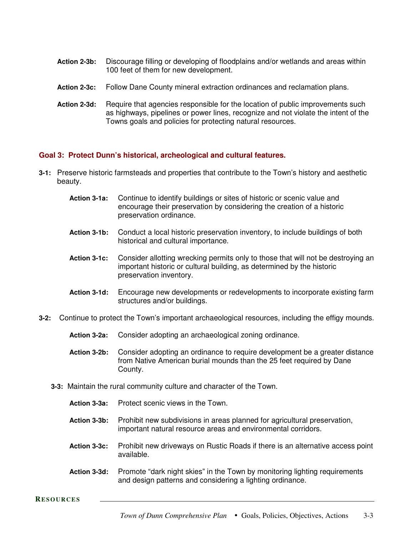- **Action 2-3b:** Discourage filling or developing of floodplains and/or wetlands and areas within 100 feet of them for new development.
- **Action 2-3c:** Follow Dane County mineral extraction ordinances and reclamation plans.
- **Action 2-3d:** Require that agencies responsible for the location of public improvements such as highways, pipelines or power lines, recognize and not violate the intent of the Towns goals and policies for protecting natural resources.

## **Goal 3: Protect Dunn's historical, archeological and cultural features.**

- **3-1:** Preserve historic farmsteads and properties that contribute to the Town's history and aesthetic beauty.
	- **Action 3-1a:** Continue to identify buildings or sites of historic or scenic value and encourage their preservation by considering the creation of a historic preservation ordinance.
	- **Action 3-1b:** Conduct a local historic preservation inventory, to include buildings of both historical and cultural importance.
	- **Action 3-1c:** Consider allotting wrecking permits only to those that will not be destroying an important historic or cultural building, as determined by the historic preservation inventory.
	- **Action 3-1d:** Encourage new developments or redevelopments to incorporate existing farm structures and/or buildings.
- **3-2:** Continue to protect the Town's important archaeological resources, including the effigy mounds.
	- **Action 3-2a:** Consider adopting an archaeological zoning ordinance.
	- **Action 3-2b:** Consider adopting an ordinance to require development be a greater distance from Native American burial mounds than the 25 feet required by Dane County.
	- **3-3:** Maintain the rural community culture and character of the Town.
		- **Action 3-3a:** Protect scenic views in the Town.
		- **Action 3-3b:** Prohibit new subdivisions in areas planned for agricultural preservation, important natural resource areas and environmental corridors.
		- **Action 3-3c:** Prohibit new driveways on Rustic Roads if there is an alternative access point available.
		- **Action 3-3d:** Promote "dark night skies" in the Town by monitoring lighting requirements and design patterns and considering a lighting ordinance.

**RESOURCES**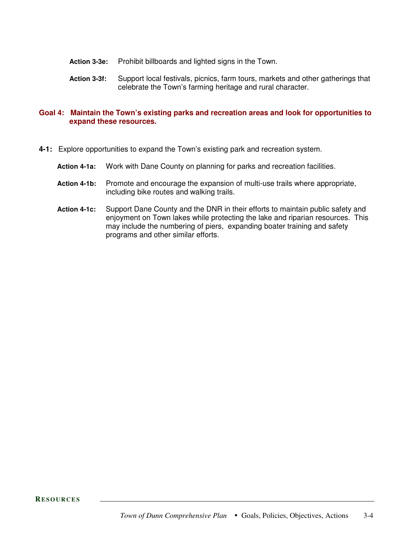- **Action 3-3e:** Prohibit billboards and lighted signs in the Town.
- **Action 3-3f:** Support local festivals, picnics, farm tours, markets and other gatherings that celebrate the Town's farming heritage and rural character.

## **Goal 4: Maintain the Town's existing parks and recreation areas and look for opportunities to expand these resources.**

- **4-1:** Explore opportunities to expand the Town's existing park and recreation system.
	- **Action 4-1a:** Work with Dane County on planning for parks and recreation facilities.
	- **Action 4-1b:** Promote and encourage the expansion of multi-use trails where appropriate, including bike routes and walking trails.
	- **Action 4-1c:** Support Dane County and the DNR in their efforts to maintain public safety and enjoyment on Town lakes while protecting the lake and riparian resources. This may include the numbering of piers, expanding boater training and safety programs and other similar efforts.